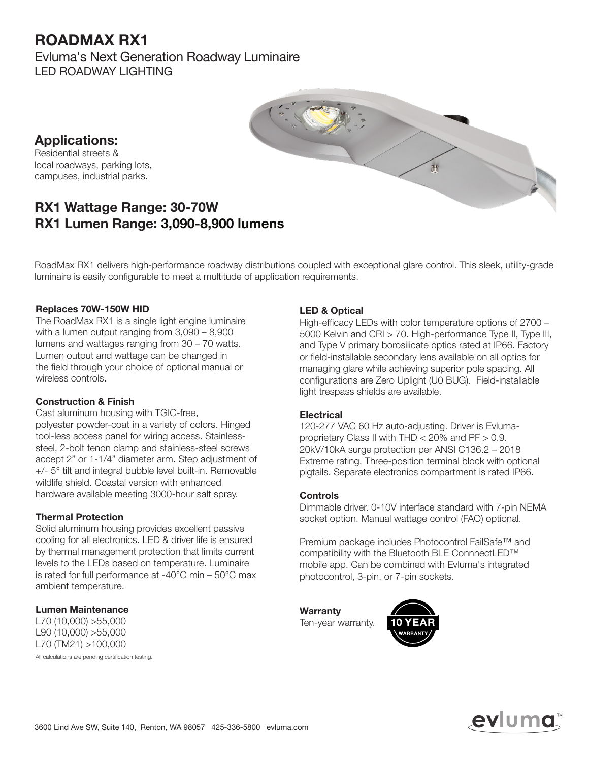## ROADMAX RX1

Evluma's Next Generation Roadway Luminaire LED ROADWAY LIGHTING



Applications: Residential streets & local roadways, parking lots, campuses, industrial parks.

### RX1 Wattage Range: 30-70W RX1 Lumen Range: 3,090-8,900 lumens

RoadMax RX1 delivers high-performance roadway distributions coupled with exceptional glare control. This sleek, utility-grade luminaire is easily configurable to meet a multitude of application requirements.

### Replaces 70W-150W HID

The RoadMax RX1 is a single light engine luminaire with a lumen output ranging from 3,090 – 8,900 lumens and wattages ranging from 30 – 70 watts. Lumen output and wattage can be changed in the field through your choice of optional manual or wireless controls.

#### Construction & Finish

Cast aluminum housing with TGIC-free, polyester powder-coat in a variety of colors. Hinged tool-less access panel for wiring access. Stainlesssteel, 2-bolt tenon clamp and stainless-steel screws accept 2" or 1-1/4" diameter arm. Step adjustment of +/- 5° tilt and integral bubble level built-in. Removable wildlife shield. Coastal version with enhanced hardware available meeting 3000-hour salt spray.

### Thermal Protection

Solid aluminum housing provides excellent passive cooling for all electronics. LED & driver life is ensured by thermal management protection that limits current levels to the LEDs based on temperature. Luminaire is rated for full performance at -40°C min – 50°C max ambient temperature.

#### Lumen Maintenance

L70 (10,000) >55,000 L90 (10,000) >55,000 L70 (TM21) >100,000 All calculations are pending certification testing. LED & Optical

High-efficacy LEDs with color temperature options of 2700 – 5000 Kelvin and CRI > 70. High-performance Type II, Type III, and Type V primary borosilicate optics rated at IP66. Factory or field-installable secondary lens available on all optics for managing glare while achieving superior pole spacing. All configurations are Zero Uplight (U0 BUG). Field-installable light trespass shields are available.

#### **Electrical**

120-277 VAC 60 Hz auto-adjusting. Driver is Evlumaproprietary Class II with THD < 20% and PF > 0.9. 20kV/10kA surge protection per ANSI C136.2 – 2018 Extreme rating. Three-position terminal block with optional pigtails. Separate electronics compartment is rated IP66.

#### Controls

Dimmable driver. 0-10V interface standard with 7-pin NEMA socket option. Manual wattage control (FAO) optional.

Premium package includes Photocontrol FailSafe™ and compatibility with the Bluetooth BLE ConnnectLED™ mobile app. Can be combined with Evluma's integrated photocontrol, 3-pin, or 7-pin sockets.

**Warranty** 



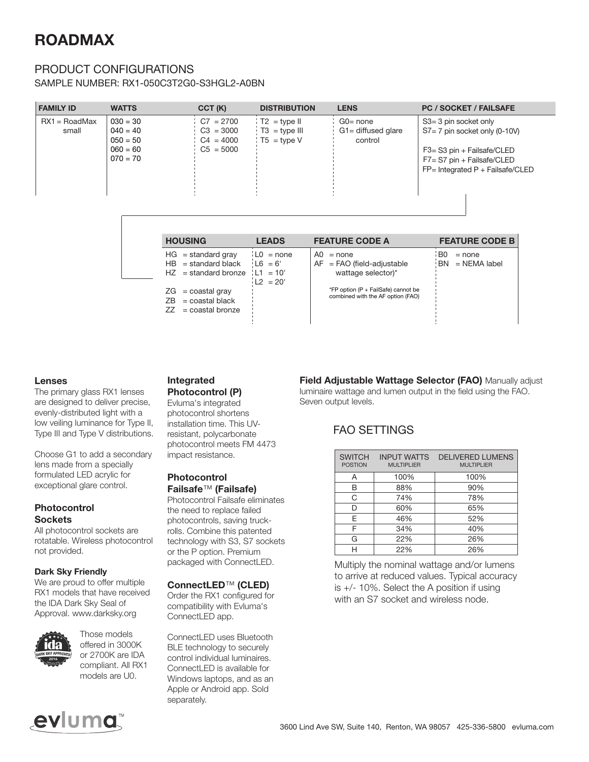# ROADMAX

### PRODUCT CONFIGURATIONS

SAMPLE NUMBER: RX1-050C3T2G0-S3HGL2-A0BN

| <b>FAMILY ID</b>         | <b>WATTS</b>                                                       | CCT (K)                                                  | <b>DISTRIBUTION</b>                                       | <b>LENS</b>                                     | <b>PC / SOCKET / FAILSAFE</b>                                                                                                                                                        |
|--------------------------|--------------------------------------------------------------------|----------------------------------------------------------|-----------------------------------------------------------|-------------------------------------------------|--------------------------------------------------------------------------------------------------------------------------------------------------------------------------------------|
| $RX1 = RoadMax$<br>small | $030 = 30$<br>$040 = 40$<br>$050 = 50$<br>$060 = 60$<br>$070 = 70$ | $C7 = 2700$<br>$C3 = 3000$<br>$C4 = 4000$<br>$C5 = 5000$ | $T2 = type II$<br>$\sqrt{13}$ = type III<br>$T5 = type V$ | $G0 = none$<br>$G1 =$ diffused glare<br>control | $S3 = 3$ pin socket only<br>$S7 = 7$ pin socket only (0-10V)<br>$F3 = S3 \text{ pin} + \text{Failsafe/CLED}$<br>$F7 = S7$ pin + Failsafe/CLED<br>$FP = Integrated P + Failsafe/CLED$ |

| <b>HOUSING</b><br><b>LEADS</b>                                                         |                                                          | <b>FEATURE CODE A</b>                                                    | <b>FEATURE CODE B</b>                           |  |  |
|----------------------------------------------------------------------------------------|----------------------------------------------------------|--------------------------------------------------------------------------|-------------------------------------------------|--|--|
| $HG = standard grav$<br>$HB = standard black$<br>$HZ = standard bronze \quad L1 = 10'$ | $\mathsf{L}0 = \mathsf{none}$<br>$16 = 6'$<br>$12 = 20'$ | A0.<br>$=$ none<br>$AF = FAO$ (field-adjustable<br>wattage selector)*    | B <sub>0</sub><br>$=$ none<br>$BN = NEMA$ label |  |  |
| $ZG = \text{coastal gray}$<br>$=$ coastal black<br>7B.<br>$ZZ = \text{coastal bronze}$ |                                                          | *FP option (P + FailSafe) cannot be<br>combined with the AF option (FAO) |                                                 |  |  |

#### Lenses

The primary glass RX1 lenses are designed to deliver precise, evenly-distributed light with a low veiling luminance for Type II, Type III and Type V distributions.

Choose G1 to add a secondary lens made from a specially formulated LED acrylic for exceptional glare control.

#### Photocontrol **Sockets**

All photocontrol sockets are rotatable. Wireless photocontrol not provided.

#### Dark Sky Friendly

We are proud to offer multiple RX1 models that have received the IDA Dark Sky Seal of Approval. www.darksky.org



Those models offered in 3000K or 2700K are IDA compliant. All RX1 models are U0.

### Integrated

Photocontrol (P) Evluma's integrated photocontrol shortens installation time. This UVresistant, polycarbonate photocontrol meets FM 4473 impact resistance.

### Photocontrol

Failsafe™ (Failsafe) Photocontrol Failsafe eliminates the need to replace failed photocontrols, saving truckrolls. Combine this patented technology with S3, S7 sockets or the P option. Premium packaged with ConnectLED.

#### ConnectLED™ (CLED)

Order the RX1 configured for compatibility with Evluma's ConnectLED app.

ConnectLED uses Bluetooth BLE technology to securely control individual luminaires. ConnectLED is available for Windows laptops, and as an Apple or Android app. Sold separately.

Field Adjustable Wattage Selector (FAO) Manually adjust luminaire wattage and lumen output in the field using the FAO. Seven output levels.

### FAO SETTINGS

| <b>SWITCH</b><br><b>POSTION</b> | <b>INPUT WATTS</b><br><b>MULTIPLIER</b> | <b>DELIVERED LUMENS</b><br><b>MULTIPLIER</b> |  |  |  |
|---------------------------------|-----------------------------------------|----------------------------------------------|--|--|--|
| A                               | 100%                                    | 100%                                         |  |  |  |
| R                               | 88%                                     | 90%                                          |  |  |  |
| C                               | 74%                                     | 78%                                          |  |  |  |
| D                               | 60%                                     | 65%                                          |  |  |  |
| F                               | 46%                                     | 52%                                          |  |  |  |
| F                               | 34%                                     | 40%                                          |  |  |  |
| G                               | 22%                                     | 26%                                          |  |  |  |
|                                 | 22%                                     | 26%                                          |  |  |  |

Multiply the nominal wattage and/or lumens to arrive at reduced values. Typical accuracy is +/- 10%. Select the A position if using with an S7 socket and wireless node.

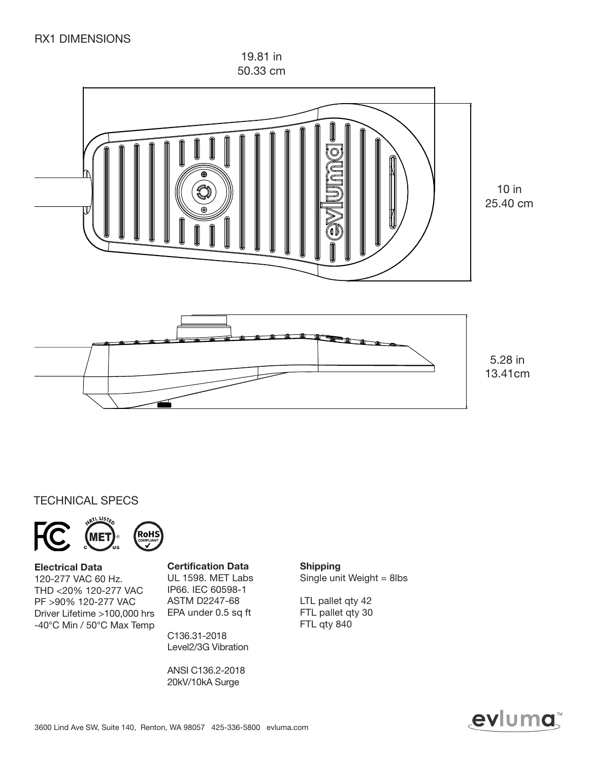19.81 in 50.33 cm



### TECHNICAL SPECS





Electrical Data 120-277 VAC 60 Hz. THD <20% 120-277 VAC PF >90% 120-277 VAC Driver Lifetime >100,000 hrs -40°C Min / 50°C Max Temp

ME1

#### Certification Data

UL 1598. MET Labs IP66. IEC 60598-1 ASTM D2247-68 EPA under 0.5 sq ft

C136.31-2018 Level2/3G Vibration

ANSI C136.2-2018 20kV/10kA Surge

Shipping Single unit Weight = 8lbs

LTL pallet qty 42 FTL pallet qty 30 FTL qty 840

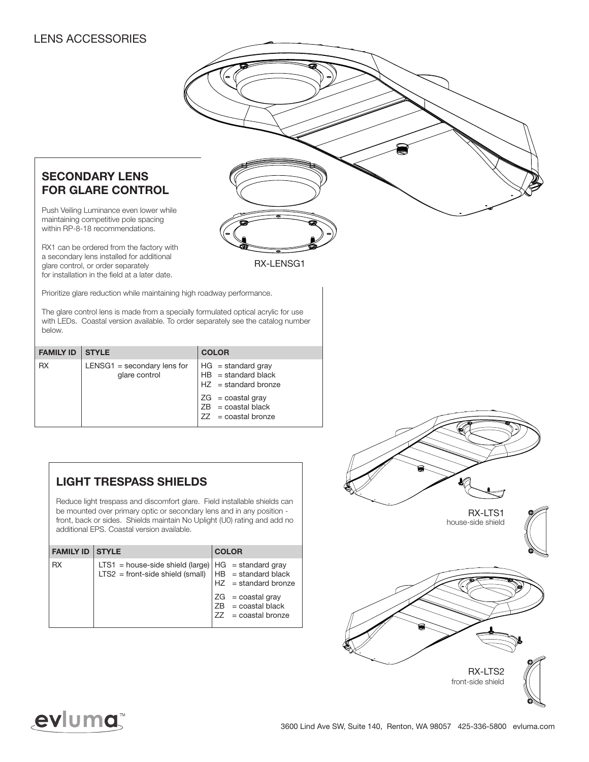### LENS ACCESSORIES

### SECONDARY LENS FOR GLARE CONTROL

Push Veiling Luminance even lower while maintaining competitive pole spacing within RP-8-18 recommendations.

RX1 can be ordered from the factory with a secondary lens installed for additional glare control, or order separately for installation in the field at a later date.

Prioritize glare reduction while maintaining high roadway performance.

The glare control lens is made from a specially formulated optical acrylic for use with LEDs. Coastal version available. To order separately see the catalog number below.

RX-LENSG1

| <b>FAMILY ID</b><br><b>COLOR</b><br><b>STYLE</b>                                                                                                                                                                                  |  |
|-----------------------------------------------------------------------------------------------------------------------------------------------------------------------------------------------------------------------------------|--|
| <b>RX</b><br>HG = standard gray<br>$LENSG1 =$ secondary lens for<br>$HB = standard black$<br>glare control<br>$HZ = standard bronze$<br>$ZG = \text{coastal}$ gray<br>$ZB = \text{coastal black}$<br>$ZZ = \text{coastal bronze}$ |  |

### LIGHT TRESPASS SHIELDS

Reduce light trespass and discomfort glare. Field installable shields can be mounted over primary optic or secondary lens and in any position front, back or sides. Shields maintain No Uplight (U0) rating and add no additional EPS. Coastal version available.

| <b>FAMILY ID STYLE</b> |                                                                                                                    | <b>COLOR</b>                                                                              |
|------------------------|--------------------------------------------------------------------------------------------------------------------|-------------------------------------------------------------------------------------------|
| <b>RX</b>              | LTS1 = house-side shield (large)   $HG = standard grav$<br>LTS2 = front-side shield (small) $ HB$ = standard black | $HZ = standard bronze$                                                                    |
|                        |                                                                                                                    | $ZG = \text{coastal}$ gray<br>$ZB = \text{coastal black}$<br>$ZZ = \text{coastal bronze}$ |



# evluma™